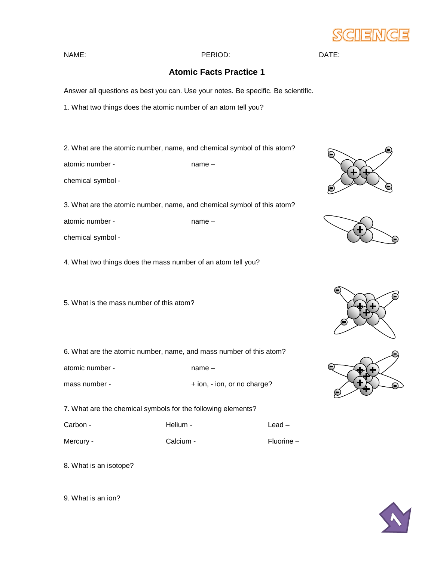

## NAME: PERIOD: DATE:

## **Atomic Facts Practice 1**

Answer all questions as best you can. Use your notes. Be specific. Be scientific.

1. What two things does the atomic number of an atom tell you?

2. What are the atomic number, name, and chemical symbol of this atom?

atomic number - name –

chemical symbol -

3. What are the atomic number, name, and chemical symbol of this atom?

atomic number - name –

chemical symbol -

4. What two things does the mass number of an atom tell you?

5. What is the mass number of this atom?

6. What are the atomic number, name, and mass number of this atom?

atomic number - name –

mass number -  $+$  ion, - ion, or no charge?

7. What are the chemical symbols for the following elements?

Carbon - The Helium - The Lead – Lead –

Mercury - Calcium - Calcium - Fluorine –

8. What is an isotope?

9. What is an ion?